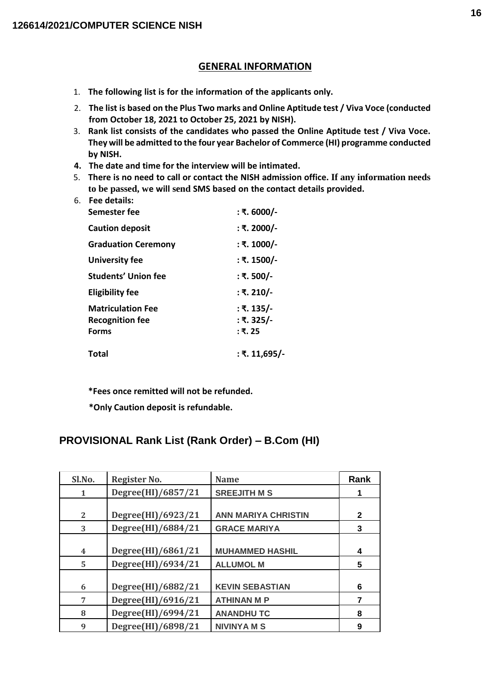#### **GENERAL INFORMATION**

- 1. **The following list is for the information of the applicants only.**
- 2. **The list is based on the Plus Two marks and Online Aptitude test / Viva Voce (conducted from October 18, 2021 to October 25, 2021 by NISH).**
- 3. **Rank list consists of the candidates who passed the Online Aptitude test / Viva Voce. They will be admitted to the four year Bachelor of Commerce (HI) programme conducted by NISH.**
- **4. The date and time for the interview will be intimated.**
- 5. **There is no need to call or contact the NISH admission office. If any information needs to be passed, we will send SMS based on the contact details provided.**

| 6. | Fee details:<br>Semester fee | : ₹. 6000/-   |
|----|------------------------------|---------------|
|    |                              |               |
|    | <b>Caution deposit</b>       | : ₹. 2000/-   |
|    | <b>Graduation Ceremony</b>   | : ₹. 1000/-   |
|    | University fee               | : ₹. 1500/-   |
|    | Students' Union fee          | : ₹. 500/-    |
|    | <b>Eligibility fee</b>       | : ₹. 210/-    |
|    | <b>Matriculation Fee</b>     | : ₹. 135/-    |
|    | <b>Recognition fee</b>       | : ₹. 325/-    |
|    | <b>Forms</b>                 | : ₹. 25       |
|    | <b>Total</b>                 | ∶ ₹. 11,695/- |
|    |                              |               |

**\*Fees once remitted will not be refunded.**

**\*Only Caution deposit is refundable.**

#### **PROVISIONAL Rank List (Rank Order) – B.Com (HI)**

| Sl.No. | Register No.       | <b>Name</b>                | Rank         |
|--------|--------------------|----------------------------|--------------|
| 1      | Degree(HI)/6857/21 | <b>SREEJITH M S</b>        | 1            |
|        |                    |                            |              |
| 2      | Degree(HI)/6923/21 | <b>ANN MARIYA CHRISTIN</b> | $\mathbf{2}$ |
| 3      | Degree(HI)/6884/21 | <b>GRACE MARIYA</b>        | 3            |
|        |                    |                            |              |
| 4      | Degree(HI)/6861/21 | <b>MUHAMMED HASHIL</b>     | 4            |
| 5      | Degree(HI)/6934/21 | <b>ALLUMOL M</b>           | 5            |
|        |                    |                            |              |
| 6      | Degree(HI)/6882/21 | <b>KEVIN SEBASTIAN</b>     | 6            |
| 7      | Degree(HI)/6916/21 | <b>ATHINAN M P</b>         | 7            |
| 8      | Degree(HI)/6994/21 | <b>ANANDHUTC</b>           | 8            |
| 9      | Degree(HI)/6898/21 | <b>NIVINYAMS</b>           | 9            |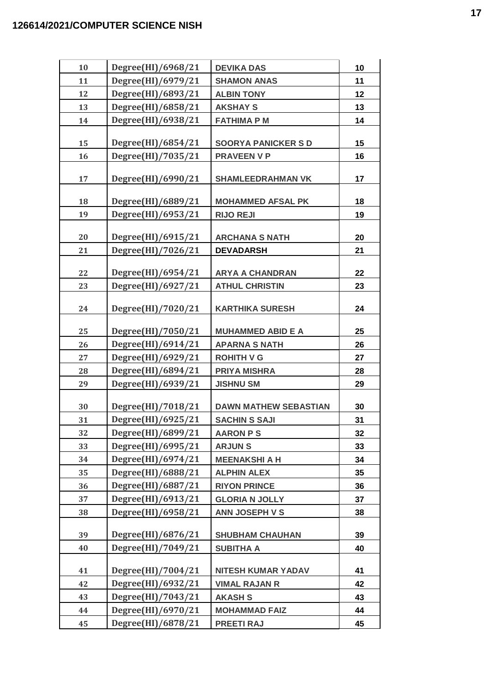| 10 | Degree(HI)/6968/21 | <b>DEVIKA DAS</b>            | 10 |
|----|--------------------|------------------------------|----|
| 11 | Degree(HI)/6979/21 | <b>SHAMON ANAS</b>           | 11 |
| 12 | Degree(HI)/6893/21 | <b>ALBIN TONY</b>            | 12 |
| 13 | Degree(HI)/6858/21 | <b>AKSHAY S</b>              | 13 |
| 14 | Degree(HI)/6938/21 | <b>FATHIMA P M</b>           | 14 |
|    |                    |                              |    |
| 15 | Degree(HI)/6854/21 | <b>SOORYA PANICKER SD</b>    | 15 |
| 16 | Degree(HI)/7035/21 | <b>PRAVEEN V P</b>           | 16 |
| 17 | Degree(HI)/6990/21 | <b>SHAMLEEDRAHMAN VK</b>     | 17 |
| 18 | Degree(HI)/6889/21 | <b>MOHAMMED AFSAL PK</b>     | 18 |
| 19 | Degree(HI)/6953/21 | <b>RIJO REJI</b>             | 19 |
|    |                    |                              |    |
| 20 | Degree(HI)/6915/21 | <b>ARCHANA S NATH</b>        | 20 |
| 21 | Degree(HI)/7026/21 | <b>DEVADARSH</b>             | 21 |
|    |                    |                              |    |
| 22 | Degree(HI)/6954/21 | <b>ARYA A CHANDRAN</b>       | 22 |
| 23 | Degree(HI)/6927/21 | <b>ATHUL CHRISTIN</b>        | 23 |
| 24 | Degree(HI)/7020/21 | <b>KARTHIKA SURESH</b>       | 24 |
| 25 | Degree(HI)/7050/21 | <b>MUHAMMED ABID E A</b>     | 25 |
| 26 | Degree(HI)/6914/21 | <b>APARNA S NATH</b>         | 26 |
| 27 | Degree(HI)/6929/21 | <b>ROHITH V G</b>            | 27 |
| 28 | Degree(HI)/6894/21 | <b>PRIYA MISHRA</b>          | 28 |
| 29 | Degree(HI)/6939/21 | <b>JISHNU SM</b>             | 29 |
|    |                    |                              |    |
| 30 | Degree(HI)/7018/21 | <b>DAWN MATHEW SEBASTIAN</b> | 30 |
| 31 | Degree(HI)/6925/21 | <b>SACHIN S SAJI</b>         | 31 |
| 32 | Degree(HI)/6899/21 | <b>AARON PS</b>              | 32 |
| 33 | Degree(HI)/6995/21 | <b>ARJUNS</b>                | 33 |
| 34 | Degree(HI)/6974/21 | <b>MEENAKSHI A H</b>         | 34 |
| 35 | Degree(HI)/6888/21 | <b>ALPHIN ALEX</b>           | 35 |
| 36 | Degree(HI)/6887/21 | <b>RIYON PRINCE</b>          | 36 |
| 37 | Degree(HI)/6913/21 | <b>GLORIA N JOLLY</b>        | 37 |
| 38 | Degree(HI)/6958/21 | <b>ANN JOSEPH V S</b>        | 38 |
| 39 | Degree(HI)/6876/21 | <b>SHUBHAM CHAUHAN</b>       | 39 |
| 40 | Degree(HI)/7049/21 | <b>SUBITHA A</b>             | 40 |
| 41 | Degree(HI)/7004/21 | NITESH KUMAR YADAV           | 41 |
| 42 | Degree(HI)/6932/21 | <b>VIMAL RAJAN R</b>         | 42 |
| 43 | Degree(HI)/7043/21 | <b>AKASH S</b>               | 43 |
| 44 | Degree(HI)/6970/21 | <b>MOHAMMAD FAIZ</b>         | 44 |
| 45 | Degree(HI)/6878/21 | <b>PREETI RAJ</b>            | 45 |
|    |                    |                              |    |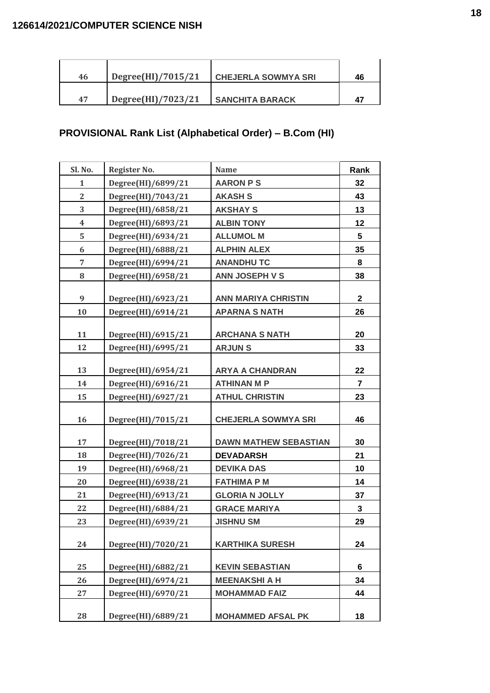| 46 | Degree(HI)/7015/21 | <b>CHEJERLA SOWMYA SRI</b> | 46 |
|----|--------------------|----------------------------|----|
| 47 | Degree(HI)/7023/21 | <b>SANCHITA BARACK</b>     |    |

# **PROVISIONAL Rank List (Alphabetical Order) – B.Com (HI)**

| Sl. No.                 | Register No.       | <b>Name</b>                  | Rank           |
|-------------------------|--------------------|------------------------------|----------------|
| $\mathbf{1}$            | Degree(HI)/6899/21 | <b>AARON PS</b>              | 32             |
| $\overline{2}$          | Degree(HI)/7043/21 | <b>AKASH S</b>               | 43             |
| 3                       | Degree(HI)/6858/21 | <b>AKSHAY S</b>              | 13             |
| $\overline{\mathbf{4}}$ | Degree(HI)/6893/21 | <b>ALBIN TONY</b>            | 12             |
| 5                       | Degree(HI)/6934/21 | <b>ALLUMOL M</b>             | 5              |
| 6                       | Degree(HI)/6888/21 | <b>ALPHIN ALEX</b>           | 35             |
| $\overline{7}$          | Degree(HI)/6994/21 | <b>ANANDHUTC</b>             | 8              |
| 8                       | Degree(HI)/6958/21 | <b>ANN JOSEPH V S</b>        | 38             |
|                         |                    |                              |                |
| 9                       | Degree(HI)/6923/21 | <b>ANN MARIYA CHRISTIN</b>   | $\mathbf 2$    |
| 10                      | Degree(HI)/6914/21 | <b>APARNA S NATH</b>         | 26             |
| 11                      | Degree(HI)/6915/21 | <b>ARCHANA S NATH</b>        | 20             |
| 12                      | Degree(HI)/6995/21 | <b>ARJUNS</b>                | 33             |
|                         |                    |                              |                |
| 13                      | Degree(HI)/6954/21 | <b>ARYA A CHANDRAN</b>       | 22             |
| 14                      | Degree(HI)/6916/21 | <b>ATHINAN M P</b>           | $\overline{7}$ |
| 15                      | Degree(HI)/6927/21 | <b>ATHUL CHRISTIN</b>        | 23             |
| 16                      | Degree(HI)/7015/21 | <b>CHEJERLA SOWMYA SRI</b>   | 46             |
| 17                      | Degree(HI)/7018/21 | <b>DAWN MATHEW SEBASTIAN</b> | 30             |
| 18                      | Degree(HI)/7026/21 | <b>DEVADARSH</b>             | 21             |
| 19                      | Degree(HI)/6968/21 | <b>DEVIKA DAS</b>            | 10             |
| 20                      | Degree(HI)/6938/21 | <b>FATHIMA P M</b>           | 14             |
| 21                      | Degree(HI)/6913/21 | <b>GLORIA N JOLLY</b>        | 37             |
| 22                      | Degree(HI)/6884/21 | <b>GRACE MARIYA</b>          | $\mathbf{3}$   |
| 23                      | Degree(HI)/6939/21 | <b>JISHNU SM</b>             | 29             |
| 24                      | Degree(HI)/7020/21 | <b>KARTHIKA SURESH</b>       | 24             |
| 25                      | Degree(HI)/6882/21 | <b>KEVIN SEBASTIAN</b>       | 6              |
| 26                      | Degree(HI)/6974/21 | <b>MEENAKSHI A H</b>         | 34             |
| 27                      | Degree(HI)/6970/21 | <b>MOHAMMAD FAIZ</b>         | 44             |
| 28                      | Degree(HI)/6889/21 | <b>MOHAMMED AFSAL PK</b>     | 18             |